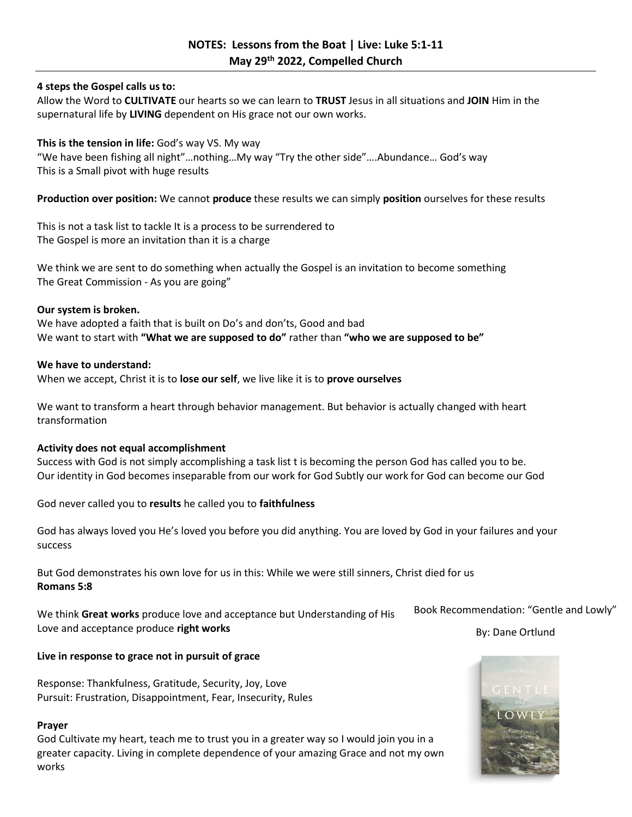# **4 steps the Gospel calls us to:**

Allow the Word to **CULTIVATE** our hearts so we can learn to **TRUST** Jesus in all situations and **JOIN** Him in the supernatural life by **LIVING** dependent on His grace not our own works.

## **This is the tension in life:** God's way VS. My way

"We have been fishing all night"…nothing…My way "Try the other side"….Abundance… God's way This is a Small pivot with huge results

**Production over position:** We cannot **produce** these results we can simply **position** ourselves for these results

This is not a task list to tackle It is a process to be surrendered to The Gospel is more an invitation than it is a charge

We think we are sent to do something when actually the Gospel is an invitation to become something The Great Commission - As you are going"

#### **Our system is broken.**

We have adopted a faith that is built on Do's and don'ts, Good and bad We want to start with **"What we are supposed to do"** rather than **"who we are supposed to be"**

#### **We have to understand:**

When we accept, Christ it is to **lose our self**, we live like it is to **prove ourselves**

We want to transform a heart through behavior management. But behavior is actually changed with heart transformation

## **Activity does not equal accomplishment**

Success with God is not simply accomplishing a task list t is becoming the person God has called you to be. Our identity in God becomes inseparable from our work for God Subtly our work for God can become our God

God never called you to **results** he called you to **faithfulness**

God has always loved you He's loved you before you did anything. You are loved by God in your failures and your success

But God demonstrates his own love for us in this: While we were still sinners, Christ died for us **Romans 5:8**

We think **Great works** produce love and acceptance but Understanding of His Love and acceptance produce **right works**

**Live in response to grace not in pursuit of grace**

Response: Thankfulness, Gratitude, Security, Joy, Love Pursuit: Frustration, Disappointment, Fear, Insecurity, Rules

### **Prayer**

God Cultivate my heart, teach me to trust you in a greater way so I would join you in a greater capacity. Living in complete dependence of your amazing Grace and not my own works

Book Recommendation: "Gentle and Lowly"

By: Dane Ortlund